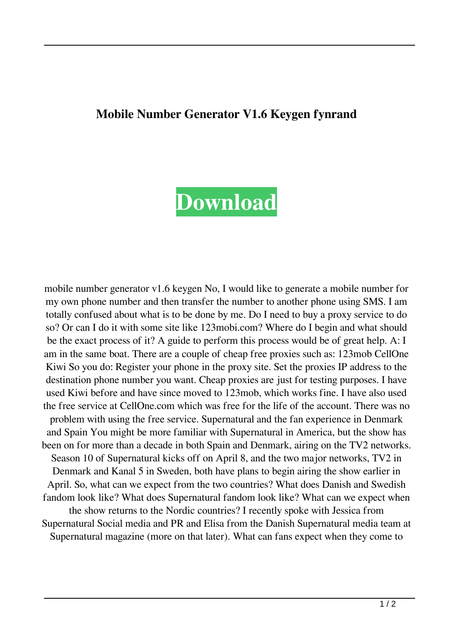## **Mobile Number Generator V1.6 Keygen fynrand**

## **[Download](http://evacdir.com/ascii/industry/?ZG93bmxvYWR8akQyTW5weGJIeDhNVFkxTWpRMk16QTFNSHg4TWpVM05IeDhLRTBwSUhKbFlXUXRZbXh2WnlCYlJtRnpkQ0JIUlU1ZA=rightmove&inspectiondue=judy/TW9iaWxlIE51bWJlciBHZW5lcmF0b3IgVjEuNiBLZXlnZW4TW9)**

mobile number generator v1.6 keygen No, I would like to generate a mobile number for my own phone number and then transfer the number to another phone using SMS. I am totally confused about what is to be done by me. Do I need to buy a proxy service to do so? Or can I do it with some site like 123mobi.com? Where do I begin and what should be the exact process of it? A guide to perform this process would be of great help. A: I am in the same boat. There are a couple of cheap free proxies such as: 123mob CellOne Kiwi So you do: Register your phone in the proxy site. Set the proxies IP address to the destination phone number you want. Cheap proxies are just for testing purposes. I have used Kiwi before and have since moved to 123mob, which works fine. I have also used the free service at CellOne.com which was free for the life of the account. There was no problem with using the free service. Supernatural and the fan experience in Denmark and Spain You might be more familiar with Supernatural in America, but the show has been on for more than a decade in both Spain and Denmark, airing on the TV2 networks. Season 10 of Supernatural kicks off on April 8, and the two major networks, TV2 in Denmark and Kanal 5 in Sweden, both have plans to begin airing the show earlier in April. So, what can we expect from the two countries? What does Danish and Swedish fandom look like? What does Supernatural fandom look like? What can we expect when the show returns to the Nordic countries? I recently spoke with Jessica from Supernatural Social media and PR and Elisa from the Danish Supernatural media team at Supernatural magazine (more on that later). What can fans expect when they come to